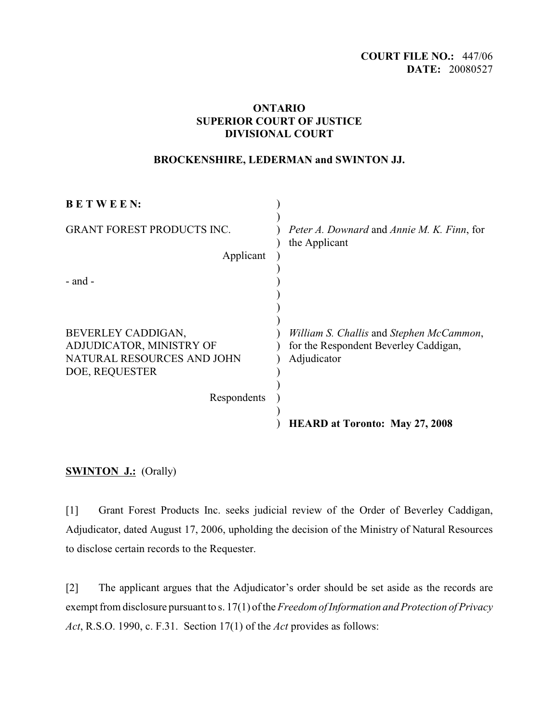## **ONTARIO SUPERIOR COURT OF JUSTICE DIVISIONAL COURT**

### **BROCKENSHIRE, LEDERMAN and SWINTON JJ.**

| <b>BETWEEN:</b>                                        |                                                             |
|--------------------------------------------------------|-------------------------------------------------------------|
| <b>GRANT FOREST PRODUCTS INC.</b><br>Applicant         | Peter A. Downard and Annie M. K. Finn, for<br>the Applicant |
|                                                        |                                                             |
| - and -                                                |                                                             |
|                                                        |                                                             |
| BEVERLEY CADDIGAN,                                     | William S. Challis and Stephen McCammon,                    |
| ADJUDICATOR, MINISTRY OF<br>NATURAL RESOURCES AND JOHN | for the Respondent Beverley Caddigan,<br>Adjudicator        |
| DOE, REQUESTER                                         |                                                             |
| Respondents                                            |                                                             |
|                                                        | <b>HEARD at Toronto: May 27, 2008</b>                       |

## **SWINTON J.:** (Orally)

[1] Grant Forest Products Inc. seeks judicial review of the Order of Beverley Caddigan, Adjudicator, dated August 17, 2006, upholding the decision of the Ministry of Natural Resources to disclose certain records to the Requester.

[2] The applicant argues that the Adjudicator's order should be set aside as the records are exempt from disclosure pursuant to s. 17(1) of the *Freedom of Information and Protection of Privacy Act*, R.S.O. 1990, c. F.31. Section 17(1) of the *Act* provides as follows: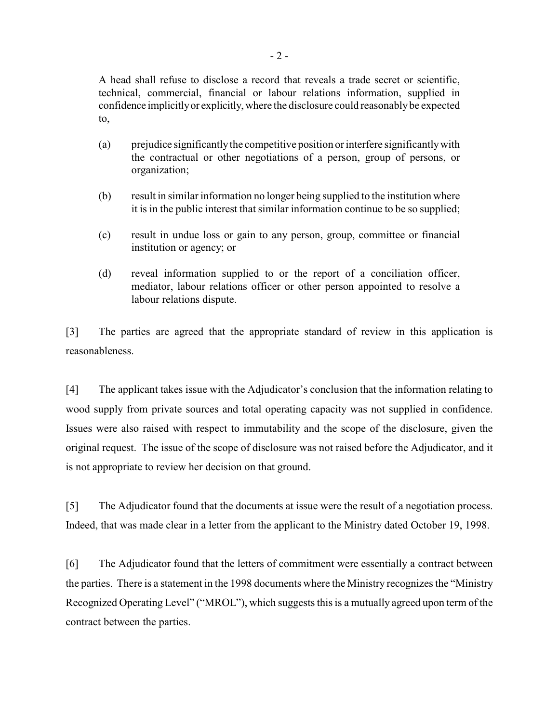A head shall refuse to disclose a record that reveals a trade secret or scientific, technical, commercial, financial or labour relations information, supplied in confidence implicitly or explicitly, where the disclosure could reasonably be expected to,

- (a) prejudice significantlythe competitive position orinterfere significantly with the contractual or other negotiations of a person, group of persons, or organization;
- (b) result in similar information no longer being supplied to the institution where it is in the public interest that similar information continue to be so supplied;
- (c) result in undue loss or gain to any person, group, committee or financial institution or agency; or
- (d) reveal information supplied to or the report of a conciliation officer, mediator, labour relations officer or other person appointed to resolve a labour relations dispute.

[3] The parties are agreed that the appropriate standard of review in this application is reasonableness.

[4] The applicant takes issue with the Adjudicator's conclusion that the information relating to wood supply from private sources and total operating capacity was not supplied in confidence. Issues were also raised with respect to immutability and the scope of the disclosure, given the original request. The issue of the scope of disclosure was not raised before the Adjudicator, and it is not appropriate to review her decision on that ground.

[5] The Adjudicator found that the documents at issue were the result of a negotiation process. Indeed, that was made clear in a letter from the applicant to the Ministry dated October 19, 1998.

[6] The Adjudicator found that the letters of commitment were essentially a contract between the parties. There is a statement in the 1998 documents where the Ministry recognizes the "Ministry Recognized Operating Level" ("MROL"), which suggests this is a mutually agreed upon term of the contract between the parties.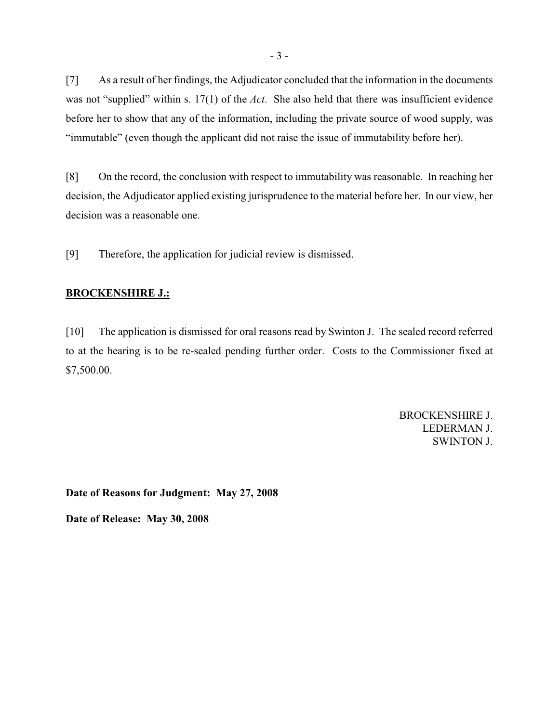[7] As a result of her findings, the Adjudicator concluded that the information in the documents was not "supplied" within s. 17(1) of the *Act*. She also held that there was insufficient evidence before her to show that any of the information, including the private source of wood supply, was "immutable" (even though the applicant did not raise the issue of immutability before her).

[8] On the record, the conclusion with respect to immutability was reasonable. In reaching her decision, the Adjudicator applied existing jurisprudence to the material before her. In our view, her decision was a reasonable one.

[9] Therefore, the application for judicial review is dismissed.

#### **BROCKENSHIRE J.:**

[10] The application is dismissed for oral reasons read by Swinton J. The sealed record referred to at the hearing is to be re-sealed pending further order. Costs to the Commissioner fixed at \$7,500.00.

> BROCKENSHIRE J. LEDERMAN J. SWINTON J.

**Date of Reasons for Judgment: May 27, 2008**

**Date of Release: May 30, 2008**